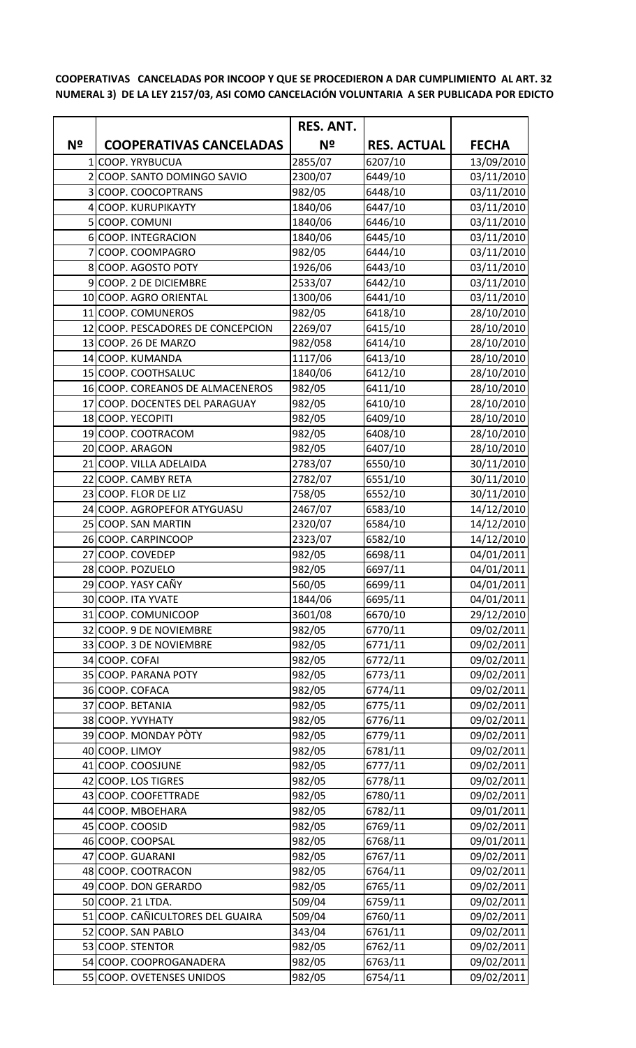**COOPERATIVAS CANCELADAS POR INCOOP Y QUE SE PROCEDIERON A DAR CUMPLIMIENTO AL ART. 32 NUMERAL 3) DE LA LEY 2157/03, ASI COMO CANCELACIÓN VOLUNTARIA A SER PUBLICADA POR EDICTO**

|    |                                                | <b>RES. ANT.</b>  |                    |                          |
|----|------------------------------------------------|-------------------|--------------------|--------------------------|
| Nº | <b>COOPERATIVAS CANCELADAS</b>                 | Nº                | <b>RES. ACTUAL</b> | <b>FECHA</b>             |
|    | 1 COOP. YRYBUCUA                               | 2855/07           | 6207/10            | 13/09/2010               |
|    | 2 COOP. SANTO DOMINGO SAVIO                    | 2300/07           | 6449/10            | 03/11/2010               |
|    | 3 COOP. COOCOPTRANS                            | 982/05            | 6448/10            | 03/11/2010               |
|    | 4 COOP. KURUPIKAYTY                            | 1840/06           | 6447/10            | 03/11/2010               |
|    | 5 COOP. COMUNI                                 | 1840/06           | 6446/10            | 03/11/2010               |
|    | 6 COOP. INTEGRACION                            | 1840/06           | 6445/10            | 03/11/2010               |
|    | COOP. COOMPAGRO                                | 982/05            | 6444/10            | 03/11/2010               |
|    | 8 COOP. AGOSTO POTY                            | 1926/06           | 6443/10            | 03/11/2010               |
|    | 9 COOP. 2 DE DICIEMBRE                         | 2533/07           | 6442/10            | 03/11/2010               |
|    | 10 COOP. AGRO ORIENTAL                         | 1300/06           | 6441/10            | 03/11/2010               |
|    | 11 COOP. COMUNEROS                             | 982/05            | 6418/10            | 28/10/2010               |
|    | 12 COOP. PESCADORES DE CONCEPCION              | 2269/07           | 6415/10            | 28/10/2010               |
|    | 13 COOP. 26 DE MARZO                           | 982/058           | 6414/10            | 28/10/2010               |
|    | 14 COOP. KUMANDA                               | 1117/06           | 6413/10            | 28/10/2010               |
|    | 15 COOP. COOTHSALUC                            | 1840/06           | 6412/10            | 28/10/2010               |
|    | 16 COOP. COREANOS DE ALMACENEROS               | 982/05            | 6411/10            | 28/10/2010               |
|    | 17 COOP. DOCENTES DEL PARAGUAY                 | 982/05            | 6410/10            | 28/10/2010               |
|    | 18 COOP. YECOPITI                              | 982/05            | 6409/10            | 28/10/2010               |
|    | 19 COOP. COOTRACOM                             | 982/05            | 6408/10            | 28/10/2010               |
|    | 20 COOP. ARAGON                                | 982/05            | 6407/10            | 28/10/2010               |
|    | 21 COOP. VILLA ADELAIDA                        | 2783/07           | 6550/10            | 30/11/2010               |
|    | 22 COOP. CAMBY RETA                            | 2782/07           | 6551/10            | 30/11/2010               |
|    | 23 COOP. FLOR DE LIZ                           | 758/05            | 6552/10            | 30/11/2010               |
|    | 24 COOP. AGROPEFOR ATYGUASU                    | 2467/07           | 6583/10            | 14/12/2010               |
|    | 25 COOP. SAN MARTIN                            | 2320/07           | 6584/10            | 14/12/2010               |
|    | 26 COOP. CARPINCOOP                            | 2323/07           | 6582/10            | 14/12/2010               |
|    | 27 COOP. COVEDEP                               | 982/05            | 6698/11            | 04/01/2011               |
|    | 28 COOP. POZUELO                               | 982/05            | 6697/11            | 04/01/2011               |
|    | 29 COOP. YASY CAÑY                             | 560/05            | 6699/11            | 04/01/2011               |
|    | 30 COOP. ITA YVATE                             | 1844/06           | 6695/11            | 04/01/2011               |
|    | 31 COOP. COMUNICOOP<br>32 COOP. 9 DE NOVIEMBRE | 3601/08<br>982/05 | 6670/10<br>6770/11 | 29/12/2010               |
|    | 33 COOP. 3 DE NOVIEMBRE                        | 982/05            | 6771/11            | 09/02/2011<br>09/02/2011 |
|    | 34 COOP. COFAI                                 | 982/05            | 6772/11            | 09/02/2011               |
|    | 35 COOP. PARANA POTY                           | 982/05            | 6773/11            | 09/02/2011               |
|    | 36 COOP. COFACA                                | 982/05            | 6774/11            | 09/02/2011               |
|    | 37 COOP. BETANIA                               | 982/05            | 6775/11            | 09/02/2011               |
|    | 38 COOP. YVYHATY                               | 982/05            | 6776/11            | 09/02/2011               |
|    | 39 COOP. MONDAY PÒTY                           | 982/05            | 6779/11            | 09/02/2011               |
|    | 40 COOP. LIMOY                                 | 982/05            | 6781/11            | 09/02/2011               |
|    | 41 COOP. COOSJUNE                              | 982/05            | 6777/11            | 09/02/2011               |
|    | 42 COOP. LOS TIGRES                            | 982/05            | 6778/11            | 09/02/2011               |
|    | 43 COOP. COOFETTRADE                           | 982/05            | 6780/11            | 09/02/2011               |
|    | 44 COOP. MBOEHARA                              | 982/05            | 6782/11            | 09/01/2011               |
|    | 45 COOP. COOSID                                | 982/05            | 6769/11            | 09/02/2011               |
|    | 46 COOP. COOPSAL                               | 982/05            | 6768/11            | 09/01/2011               |
|    | 47 COOP. GUARANI                               | 982/05            | 6767/11            | 09/02/2011               |
|    | 48 COOP. COOTRACON                             | 982/05            | 6764/11            | 09/02/2011               |
|    | 49 COOP. DON GERARDO                           | 982/05            | 6765/11            | 09/02/2011               |
|    | 50 COOP. 21 LTDA.                              | 509/04            | 6759/11            | 09/02/2011               |
|    | 51 COOP. CAÑICULTORES DEL GUAIRA               | 509/04            | 6760/11            | 09/02/2011               |
|    | 52 COOP. SAN PABLO                             | 343/04            | 6761/11            | 09/02/2011               |
|    | 53 COOP. STENTOR                               | 982/05            | 6762/11            | 09/02/2011               |
|    | 54 COOP. COOPROGANADERA                        | 982/05            | 6763/11            | 09/02/2011               |
|    | 55 COOP. OVETENSES UNIDOS                      | 982/05            | 6754/11            | 09/02/2011               |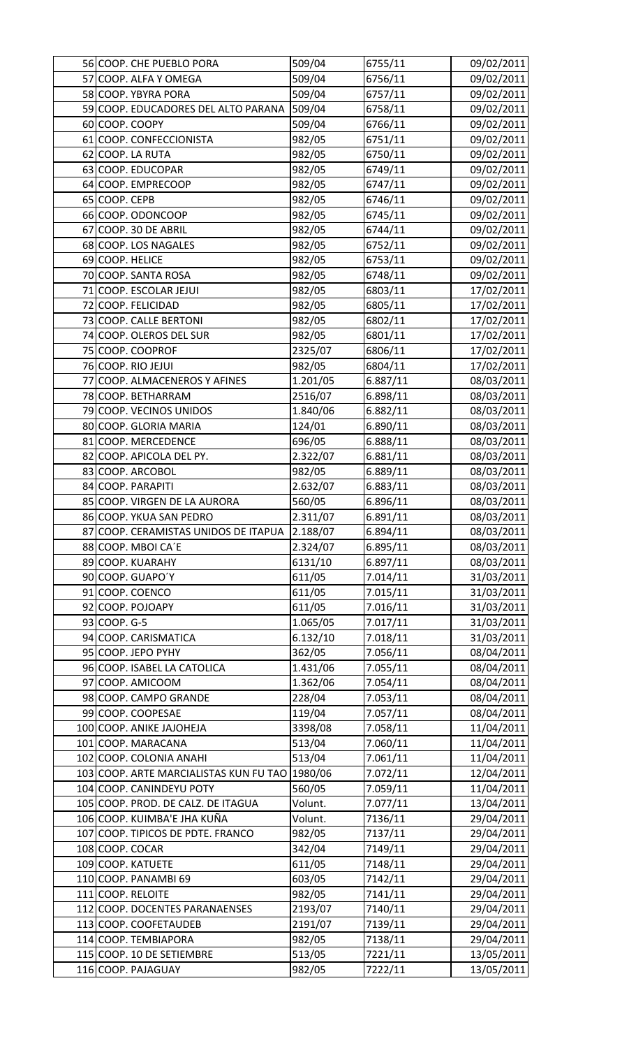| 56 COOP. CHE PUEBLO PORA                       | 509/04   | 6755/11  | 09/02/2011 |
|------------------------------------------------|----------|----------|------------|
| 57 COOP. ALFA Y OMEGA                          | 509/04   | 6756/11  | 09/02/2011 |
| 58 COOP. YBYRA PORA                            | 509/04   | 6757/11  | 09/02/2011 |
| 59 COOP. EDUCADORES DEL ALTO PARANA            | 509/04   | 6758/11  | 09/02/2011 |
| 60 COOP. COOPY                                 | 509/04   | 6766/11  | 09/02/2011 |
| 61 COOP. CONFECCIONISTA                        | 982/05   | 6751/11  | 09/02/2011 |
| 62 COOP. LA RUTA                               | 982/05   | 6750/11  | 09/02/2011 |
| 63 COOP. EDUCOPAR                              | 982/05   | 6749/11  | 09/02/2011 |
| 64 COOP. EMPRECOOP                             | 982/05   | 6747/11  | 09/02/2011 |
| 65 COOP. CEPB                                  | 982/05   | 6746/11  | 09/02/2011 |
| 66 COOP. ODONCOOP                              | 982/05   | 6745/11  | 09/02/2011 |
| 67 COOP. 30 DE ABRIL                           | 982/05   | 6744/11  | 09/02/2011 |
| 68 COOP. LOS NAGALES                           | 982/05   | 6752/11  | 09/02/2011 |
| 69 COOP. HELICE                                | 982/05   | 6753/11  | 09/02/2011 |
| 70 COOP. SANTA ROSA                            | 982/05   | 6748/11  | 09/02/2011 |
| 71 COOP. ESCOLAR JEJUI                         | 982/05   | 6803/11  | 17/02/2011 |
| 72 COOP. FELICIDAD                             | 982/05   | 6805/11  | 17/02/2011 |
| 73 COOP. CALLE BERTONI                         | 982/05   | 6802/11  | 17/02/2011 |
| 74 COOP. OLEROS DEL SUR                        | 982/05   | 6801/11  | 17/02/2011 |
| 75 COOP. COOPROF                               | 2325/07  | 6806/11  | 17/02/2011 |
| 76 COOP. RIO JEJUI                             | 982/05   | 6804/11  | 17/02/2011 |
| 77 COOP. ALMACENEROS Y AFINES                  | 1.201/05 | 6.887/11 | 08/03/2011 |
| 78 COOP. BETHARRAM                             | 2516/07  | 6.898/11 | 08/03/2011 |
| 79 COOP. VECINOS UNIDOS                        | 1.840/06 | 6.882/11 | 08/03/2011 |
| 80 COOP. GLORIA MARIA                          | 124/01   | 6.890/11 | 08/03/2011 |
| 81 COOP. MERCEDENCE                            | 696/05   | 6.888/11 | 08/03/2011 |
| 82 COOP. APICOLA DEL PY.                       | 2.322/07 | 6.881/11 | 08/03/2011 |
| 83 COOP. ARCOBOL                               | 982/05   | 6.889/11 | 08/03/2011 |
| 84 COOP. PARAPITI                              | 2.632/07 | 6.883/11 | 08/03/2011 |
| 85 COOP. VIRGEN DE LA AURORA                   | 560/05   | 6.896/11 | 08/03/2011 |
| 86 COOP. YKUA SAN PEDRO                        | 2.311/07 | 6.891/11 | 08/03/2011 |
| 87 COOP. CERAMISTAS UNIDOS DE ITAPUA 2.188/07  |          | 6.894/11 | 08/03/2011 |
| 88 COOP. MBOI CA'E                             | 2.324/07 | 6.895/11 | 08/03/2011 |
| 89 COOP. KUARAHY                               | 6131/10  | 6.897/11 | 08/03/2011 |
| 90 COOP. GUAPO'Y                               | 611/05   | 7.014/11 | 31/03/2011 |
| 91 COOP. COENCO                                | 611/05   | 7.015/11 | 31/03/2011 |
| 92 COOP. POJOAPY                               | 611/05   | 7.016/11 | 31/03/2011 |
| 93 COOP. G-5                                   | 1.065/05 | 7.017/11 | 31/03/2011 |
|                                                |          |          |            |
| 94 COOP. CARISMATICA                           | 6.132/10 | 7.018/11 | 31/03/2011 |
| 95 COOP. JEPO PYHY                             | 362/05   | 7.056/11 | 08/04/2011 |
| 96 COOP. ISABEL LA CATOLICA                    | 1.431/06 | 7.055/11 | 08/04/2011 |
| 97 COOP. AMICOOM                               | 1.362/06 | 7.054/11 | 08/04/2011 |
| 98 COOP. CAMPO GRANDE                          | 228/04   | 7.053/11 | 08/04/2011 |
| 99 COOP. COOPESAE                              | 119/04   | 7.057/11 | 08/04/2011 |
| 100 COOP. ANIKE JAJOHEJA                       | 3398/08  | 7.058/11 | 11/04/2011 |
| 101 COOP. MARACANA                             | 513/04   | 7.060/11 | 11/04/2011 |
| 102 COOP. COLONIA ANAHI                        | 513/04   | 7.061/11 | 11/04/2011 |
| 103 COOP. ARTE MARCIALISTAS KUN FU TAO 1980/06 |          | 7.072/11 | 12/04/2011 |
| 104 COOP. CANINDEYU POTY                       | 560/05   | 7.059/11 | 11/04/2011 |
| 105 COOP. PROD. DE CALZ. DE ITAGUA             | Volunt.  | 7.077/11 | 13/04/2011 |
| 106 COOP. KUIMBA'E JHA KUÑA                    | Volunt.  | 7136/11  | 29/04/2011 |
| 107 COOP. TIPICOS DE PDTE. FRANCO              | 982/05   | 7137/11  | 29/04/2011 |
| 108 COOP. COCAR                                | 342/04   | 7149/11  | 29/04/2011 |
| 109 COOP. KATUETE                              | 611/05   | 7148/11  | 29/04/2011 |
| 110 COOP. PANAMBI 69                           | 603/05   | 7142/11  | 29/04/2011 |
| 111 COOP. RELOITE                              | 982/05   | 7141/11  | 29/04/2011 |
| 112 COOP. DOCENTES PARANAENSES                 | 2193/07  | 7140/11  | 29/04/2011 |
| 113 COOP. COOFETAUDEB                          | 2191/07  | 7139/11  | 29/04/2011 |
| 114 COOP. TEMBIAPORA                           | 982/05   | 7138/11  | 29/04/2011 |
| 115 COOP. 10 DE SETIEMBRE                      | 513/05   | 7221/11  | 13/05/2011 |
| 116 COOP. PAJAGUAY                             | 982/05   | 7222/11  | 13/05/2011 |